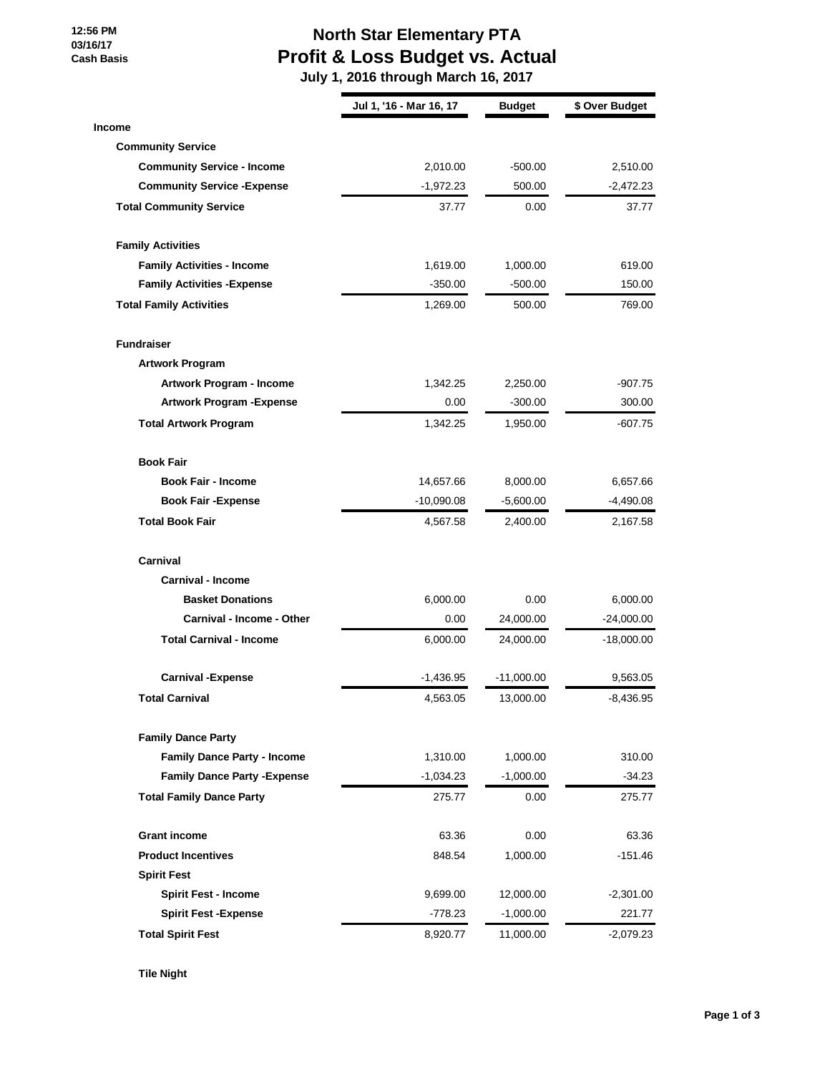**12:56 PM 03/16/17 Cash Basis**

## **North Star Elementary PTA Profit & Loss Budget vs. Actual**

 **July 1, 2016 through March 16, 2017**

|                                     | Jul 1, '16 - Mar 16, 17 | <b>Budget</b> | \$ Over Budget |
|-------------------------------------|-------------------------|---------------|----------------|
| <b>Income</b>                       |                         |               |                |
| <b>Community Service</b>            |                         |               |                |
| <b>Community Service - Income</b>   | 2,010.00                | $-500.00$     | 2,510.00       |
| <b>Community Service - Expense</b>  | $-1,972.23$             | 500.00        | $-2,472.23$    |
| <b>Total Community Service</b>      | 37.77                   | 0.00          | 37.77          |
| <b>Family Activities</b>            |                         |               |                |
| <b>Family Activities - Income</b>   | 1,619.00                | 1,000.00      | 619.00         |
| <b>Family Activities - Expense</b>  | $-350.00$               | $-500.00$     | 150.00         |
| <b>Total Family Activities</b>      | 1,269.00                | 500.00        | 769.00         |
| <b>Fundraiser</b>                   |                         |               |                |
| <b>Artwork Program</b>              |                         |               |                |
| Artwork Program - Income            | 1,342.25                | 2,250.00      | $-907.75$      |
| <b>Artwork Program - Expense</b>    | 0.00                    | $-300.00$     | 300.00         |
| <b>Total Artwork Program</b>        | 1,342.25                | 1,950.00      | $-607.75$      |
| <b>Book Fair</b>                    |                         |               |                |
| <b>Book Fair - Income</b>           | 14,657.66               | 8,000.00      | 6,657.66       |
| <b>Book Fair - Expense</b>          | $-10,090.08$            | $-5,600.00$   | $-4,490.08$    |
| <b>Total Book Fair</b>              | 4,567.58                | 2,400.00      | 2,167.58       |
| Carnival                            |                         |               |                |
| <b>Carnival - Income</b>            |                         |               |                |
| <b>Basket Donations</b>             | 6,000.00                | 0.00          | 6,000.00       |
| Carnival - Income - Other           | 0.00                    | 24,000.00     | $-24,000.00$   |
| <b>Total Carnival - Income</b>      | 6,000.00                | 24,000.00     | $-18,000.00$   |
| <b>Carnival -Expense</b>            | $-1,436.95$             | -11,000.00    | 9,563.05       |
| <b>Total Carnival</b>               | 4,563.05                | 13,000.00     | -8,436.95      |
| <b>Family Dance Party</b>           |                         |               |                |
| <b>Family Dance Party - Income</b>  | 1,310.00                | 1,000.00      | 310.00         |
| <b>Family Dance Party - Expense</b> | $-1,034.23$             | $-1,000.00$   | $-34.23$       |
| <b>Total Family Dance Party</b>     | 275.77                  | 0.00          | 275.77         |
| <b>Grant income</b>                 | 63.36                   | 0.00          | 63.36          |
| <b>Product Incentives</b>           | 848.54                  | 1,000.00      | $-151.46$      |
| <b>Spirit Fest</b>                  |                         |               |                |
| <b>Spirit Fest - Income</b>         | 9,699.00                | 12,000.00     | $-2,301.00$    |
| <b>Spirit Fest -Expense</b>         | $-778.23$               | $-1,000.00$   | 221.77         |
| <b>Total Spirit Fest</b>            | 8,920.77                | 11,000.00     | -2,079.23      |

**Tile Night**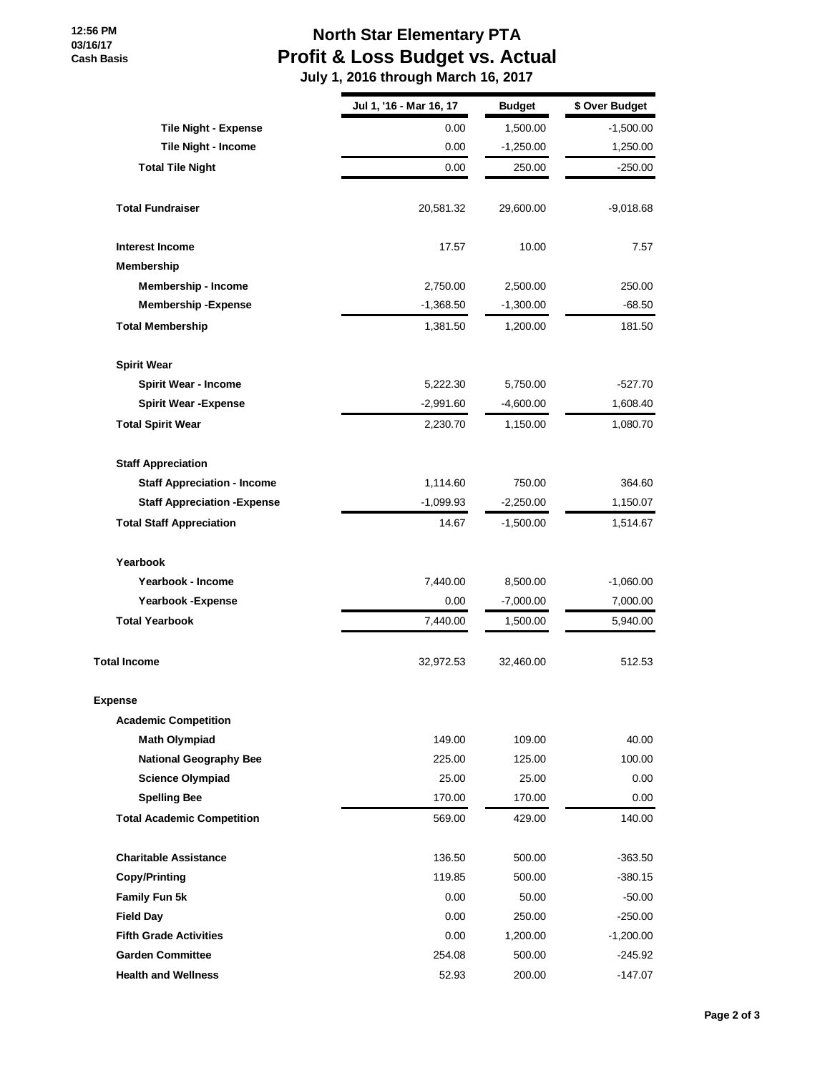## **12:56 PM 03/16/17 Cash Basis**

## **North Star Elementary PTA Profit & Loss Budget vs. Actual**

 **July 1, 2016 through March 16, 2017**

|                                     | Jul 1, '16 - Mar 16, 17 | <b>Budget</b> | \$ Over Budget |
|-------------------------------------|-------------------------|---------------|----------------|
| <b>Tile Night - Expense</b>         | 0.00                    | 1,500.00      | $-1,500.00$    |
| Tile Night - Income                 | 0.00                    | $-1,250.00$   | 1,250.00       |
| <b>Total Tile Night</b>             | 0.00                    | 250.00        | $-250.00$      |
| <b>Total Fundraiser</b>             | 20,581.32               | 29,600.00     | -9,018.68      |
| <b>Interest Income</b>              | 17.57                   | 10.00         | 7.57           |
| Membership                          |                         |               |                |
| <b>Membership - Income</b>          | 2,750.00                | 2,500.00      | 250.00         |
| <b>Membership - Expense</b>         | $-1,368.50$             | $-1,300.00$   | $-68.50$       |
| <b>Total Membership</b>             | 1,381.50                | 1,200.00      | 181.50         |
| <b>Spirit Wear</b>                  |                         |               |                |
| <b>Spirit Wear - Income</b>         | 5,222.30                | 5,750.00      | $-527.70$      |
| <b>Spirit Wear - Expense</b>        | $-2,991.60$             | $-4,600.00$   | 1,608.40       |
| <b>Total Spirit Wear</b>            | 2,230.70                | 1,150.00      | 1,080.70       |
| <b>Staff Appreciation</b>           |                         |               |                |
| <b>Staff Appreciation - Income</b>  | 1,114.60                | 750.00        | 364.60         |
| <b>Staff Appreciation - Expense</b> | $-1,099.93$             | $-2,250.00$   | 1,150.07       |
| <b>Total Staff Appreciation</b>     | 14.67                   | $-1,500.00$   | 1,514.67       |
| Yearbook                            |                         |               |                |
| Yearbook - Income                   | 7,440.00                | 8,500.00      | $-1,060.00$    |
| Yearbook - Expense                  | 0.00                    | $-7,000.00$   | 7,000.00       |
| <b>Total Yearbook</b>               | 7,440.00                | 1,500.00      | 5,940.00       |
| <b>Total Income</b>                 | 32,972.53               | 32,460.00     | 512.53         |
| Expense                             |                         |               |                |
| <b>Academic Competition</b>         |                         |               |                |
| <b>Math Olympiad</b>                | 149.00                  | 109.00        | 40.00          |
| <b>National Geography Bee</b>       | 225.00                  | 125.00        | 100.00         |
| <b>Science Olympiad</b>             | 25.00                   | 25.00         | 0.00           |
| <b>Spelling Bee</b>                 | 170.00                  | 170.00        | 0.00           |
| <b>Total Academic Competition</b>   | 569.00                  | 429.00        | 140.00         |
| <b>Charitable Assistance</b>        | 136.50                  | 500.00        | $-363.50$      |
| <b>Copy/Printing</b>                | 119.85                  | 500.00        | $-380.15$      |
| Family Fun 5k                       | 0.00                    | 50.00         | $-50.00$       |
| <b>Field Day</b>                    | 0.00                    | 250.00        | $-250.00$      |
| <b>Fifth Grade Activities</b>       | 0.00                    | 1,200.00      | $-1,200.00$    |
| <b>Garden Committee</b>             | 254.08                  | 500.00        | -245.92        |
| <b>Health and Wellness</b>          | 52.93                   | 200.00        | $-147.07$      |